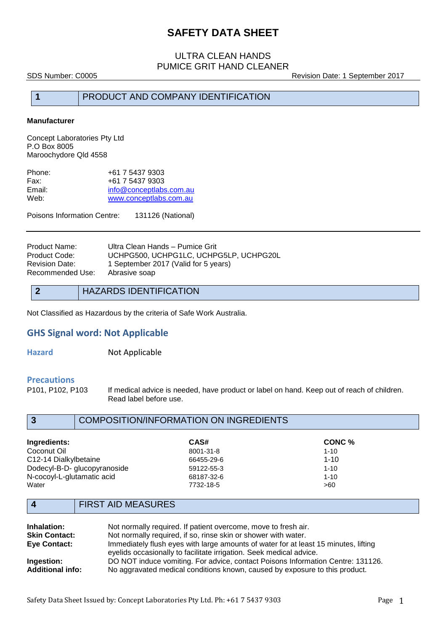## ULTRA CLEAN HANDS PUMICE GRIT HAND CLEANER

SDS Number: C0005 Revision Date: 1 September 2017

## **1** PRODUCT AND COMPANY IDENTIFICATION

#### **Manufacturer**

Concept Laboratories Pty Ltd P.O Box 8005 Maroochydore Qld 4558

| Phone: | +61 7 5437 9303         |
|--------|-------------------------|
| Fax:   | +61 7 5437 9303         |
| Email: | info@conceptlabs.com.au |
| Web:   | www.conceptlabs.com.au  |

Poisons Information Centre: 131126 (National)

| Product Name:    | Ultra Clean Hands - Pumice Grit        |
|------------------|----------------------------------------|
| Product Code:    | UCHPG500, UCHPG1LC, UCHPG5LP, UCHPG20L |
| Revision Date:   | 1 September 2017 (Valid for 5 years)   |
| Recommended Use: | Abrasive soap                          |
|                  |                                        |

## **2** HAZARDS IDENTIFICATION

Not Classified as Hazardous by the criteria of Safe Work Australia.

### **GHS Signal word: Not Applicable**

**Hazard Not Applicable** 

# **Precautions**

If medical advice is needed, have product or label on hand. Keep out of reach of children. Read label before use.

## **3** COMPOSITION/INFORMATION ON INGREDIENTS

| Ingredients:                 | CAS#       | CONC %   |  |
|------------------------------|------------|----------|--|
| Coconut Oil                  | 8001-31-8  | $1 - 10$ |  |
| C12-14 Dialkylbetaine        | 66455-29-6 | $1 - 10$ |  |
| Dodecyl-B-D- glucopyranoside | 59122-55-3 | $1 - 10$ |  |
| N-cocoyl-L-glutamatic acid   | 68187-32-6 | $1 - 10$ |  |
| Water                        | 7732-18-5  | >60      |  |

## **4** FIRST AID MEASURES

| Inhalation:             | Not normally required. If patient overcome, move to fresh air.                      |
|-------------------------|-------------------------------------------------------------------------------------|
| <b>Skin Contact:</b>    | Not normally required, if so, rinse skin or shower with water.                      |
| Eye Contact:            | Immediately flush eyes with large amounts of water for at least 15 minutes, lifting |
|                         | eyelids occasionally to facilitate irrigation. Seek medical advice.                 |
| Ingestion:              | DO NOT induce vomiting. For advice, contact Poisons Information Centre: 131126.     |
| <b>Additional info:</b> | No aggravated medical conditions known, caused by exposure to this product.         |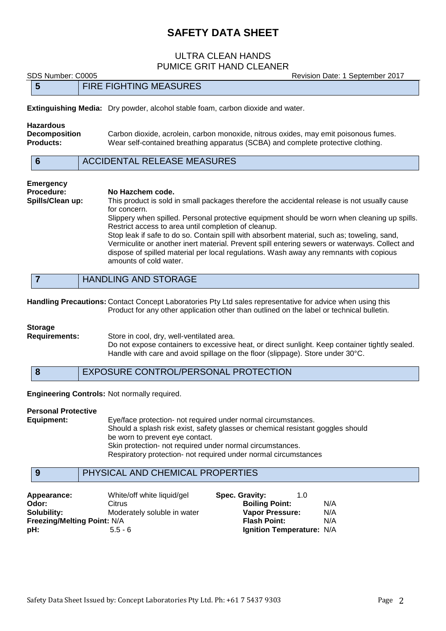## ULTRA CLEAN HANDS PUMICE GRIT HAND CLEANER

SDS Number: C0005 Revision Date: 1 September 2017 **5** FIRE FIGHTING MEASURES **Extinguishing Media:** Dry powder, alcohol stable foam, carbon dioxide and water.

**Hazardous Decomposition** Carbon dioxide, acrolein, carbon monoxide, nitrous oxides, may emit poisonous fumes. **Products:** Wear self-contained breathing apparatus (SCBA) and complete protective clothing.

|  | ACCIDENTAL RELEASE MEASURES |  |  |
|--|-----------------------------|--|--|
|--|-----------------------------|--|--|

### **Emergency Procedure: No Hazchem code. Spills/Clean up:** This product is sold in small packages therefore the accidental release is not usually cause for concern. Slippery when spilled. Personal protective equipment should be worn when cleaning up spills. Restrict access to area until completion of cleanup. Stop leak if safe to do so. Contain spill with absorbent material, such as; toweling, sand,

Vermiculite or another inert material. Prevent spill entering sewers or waterways. Collect and dispose of spilled material per local regulations. Wash away any remnants with copious amounts of cold water.

**Handling Precautions:** Contact Concept Laboratories Pty Ltd sales representative for advice when using this Product for any other application other than outlined on the label or technical bulletin.

#### **Storage**

**Requirements:** Store in cool, dry, well-ventilated area.

Do not expose containers to excessive heat, or direct sunlight. Keep container tightly sealed. Handle with care and avoid spillage on the floor (slippage). Store under 30°C.

**8** EXPOSURE CONTROL/PERSONAL PROTECTION

**Engineering Controls:** Not normally required.

#### **Personal Protective**

**Equipment:** Eye/face protection- not required under normal circumstances. Should a splash risk exist, safety glasses or chemical resistant goggles should be worn to prevent eye contact. Skin protection- not required under normal circumstances. Respiratory protection- not required under normal circumstances

## **9** PHYSICAL AND CHEMICAL PROPERTIES

| Appearance:                        | White/off white liquid/gel  | Spec. Gravity:            | 1.0 |     |
|------------------------------------|-----------------------------|---------------------------|-----|-----|
| Odor:                              | Citrus                      | <b>Boiling Point:</b>     |     | N/A |
| Solubility:                        | Moderately soluble in water | <b>Vapor Pressure:</b>    |     | N/A |
| <b>Freezing/Melting Point: N/A</b> |                             | <b>Flash Point:</b>       |     | N/A |
| :bH                                | $5.5 - 6$                   | Ignition Temperature: N/A |     |     |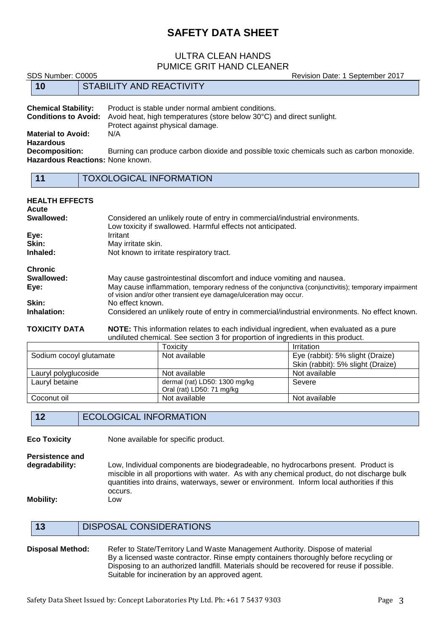## ULTRA CLEAN HANDS PUMICE GRIT HAND CLEANER

SDS Number: C0005 Revision Date: 1 September 2017

| 10                                            | STABILITY AND REACTIVITY                                                                                                     |
|-----------------------------------------------|------------------------------------------------------------------------------------------------------------------------------|
| <b>Chemical Stability:</b>                    | Product is stable under normal ambient conditions.                                                                           |
| <b>Conditions to Avoid:</b>                   | Avoid heat, high temperatures (store below 30°C) and direct sunlight.<br>Protect against physical damage.                    |
| <b>Material to Avoid:</b><br><b>Hazardous</b> | N/A                                                                                                                          |
| <b>Decomposition:</b>                         | Burning can produce carbon dioxide and possible toxic chemicals such as carbon monoxide.<br>Hazardous Reactions: None known. |
| $-11$                                         | <b>TOYOLOGICAL INFORMATION</b>                                                                                               |

#### **11** TOXOLOGICAL INFORMATION

### **HEALTH EFFECTS Acute** Considered an unlikely route of entry in commercial/industrial environments. Low toxicity if swallowed. Harmful effects not anticipated. **Eye:** Irritant **Skin:** May irritate skin. **Inhaled:** Not known to irritate respiratory tract. **Chronic Swallowed:** May cause gastrointestinal discomfort and induce vomiting and nausea. Eye: May cause inflammation, temporary redness of the conjunctiva (conjunctivitis); temporary impairment of vision and/or other transient eye damage/ulceration may occur. **Skin:** No effect known. **Inhalation:** Considered an unlikely route of entry in commercial/industrial environments. No effect known.

**TOXICITY DATA NOTE:** This information relates to each individual ingredient, when evaluated as a pure undiluted chemical. See section 3 for proportion of ingredients in this product.

|                         | Toxicitv                                                   | <b>Irritation</b>                 |
|-------------------------|------------------------------------------------------------|-----------------------------------|
| Sodium cocoyl glutamate | Not available                                              | Eye (rabbit): 5% slight (Draize)  |
|                         |                                                            | Skin (rabbit): 5% slight (Draize) |
| Lauryl polyglucoside    | Not available                                              | Not available                     |
| Lauryl betaine          | dermal (rat) LD50: 1300 mg/kg<br>Oral (rat) LD50: 71 mg/kg | Severe                            |
| Coconut oil             | Not available                                              | Not available                     |

## **12** ECOLOGICAL INFORMATION

**Eco Toxicity** None available for specific product.

**Persistence and**

**degradability:** Low, Individual components are biodegradeable, no hydrocarbons present. Product is miscible in all proportions with water. As with any chemical product, do not discharge bulk quantities into drains, waterways, sewer or environment. Inform local authorities if this occurs.

**Mobility:** Low

- **13** DISPOSAL CONSIDERATIONS
- **Disposal Method:** Refer to State/Territory Land Waste Management Authority. Dispose of material By a licensed waste contractor. Rinse empty containers thoroughly before recycling or Disposing to an authorized landfill. Materials should be recovered for reuse if possible. Suitable for incineration by an approved agent.